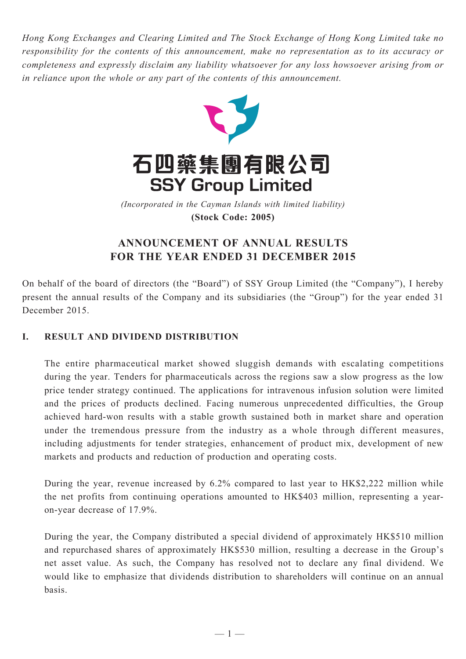*Hong Kong Exchanges and Clearing Limited and The Stock Exchange of Hong Kong Limited take no responsibility for the contents of this announcement, make no representation as to its accuracy or completeness and expressly disclaim any liability whatsoever for any loss howsoever arising from or in reliance upon the whole or any part of the contents of this announcement.*



**(Stock Code: 2005)** *(Incorporated in the Cayman Islands with limited liability)* 

# **ANNOUNCEMENT OF ANNUAL RESULTS FOR THE YEAR ENDED 31 DECEMBER 2015**

On behalf of the board of directors (the "Board") of SSY Group Limited (the "Company"), I hereby present the annual results of the Company and its subsidiaries (the "Group") for the year ended 31 December 2015.

## **I. RESULT AND DIVIDEND DISTRIBUTION**

The entire pharmaceutical market showed sluggish demands with escalating competitions during the year. Tenders for pharmaceuticals across the regions saw a slow progress as the low price tender strategy continued. The applications for intravenous infusion solution were limited and the prices of products declined. Facing numerous unprecedented difficulties, the Group achieved hard-won results with a stable growth sustained both in market share and operation under the tremendous pressure from the industry as a whole through different measures, including adjustments for tender strategies, enhancement of product mix, development of new markets and products and reduction of production and operating costs.

During the year, revenue increased by 6.2% compared to last year to HK\$2,222 million while the net profits from continuing operations amounted to HK\$403 million, representing a yearon-year decrease of 17.9%.

During the year, the Company distributed a special dividend of approximately HK\$510 million and repurchased shares of approximately HK\$530 million, resulting a decrease in the Group's net asset value. As such, the Company has resolved not to declare any final dividend. We would like to emphasize that dividends distribution to shareholders will continue on an annual basis.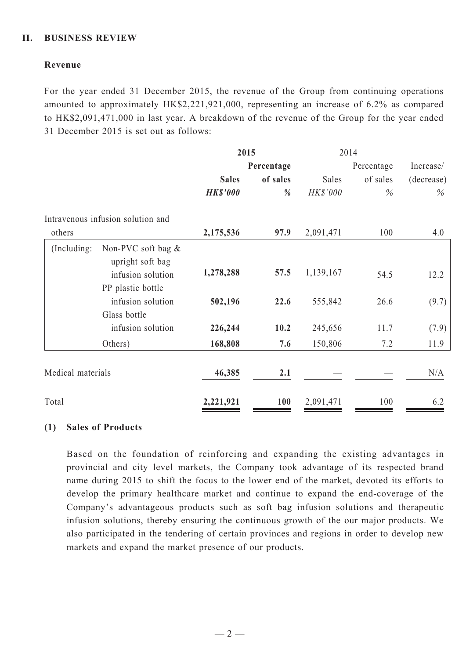### **II. BUSINESS REVIEW**

### **Revenue**

For the year ended 31 December 2015, the revenue of the Group from continuing operations amounted to approximately HK\$2,221,921,000, representing an increase of 6.2% as compared to HK\$2,091,471,000 in last year. A breakdown of the revenue of the Group for the year ended 31 December 2015 is set out as follows:

|                   |                                        | 2015            |            | 2014       |          |            |  |
|-------------------|----------------------------------------|-----------------|------------|------------|----------|------------|--|
|                   |                                        |                 | Percentage | Percentage |          | Increase/  |  |
|                   |                                        | <b>Sales</b>    | of sales   | Sales      | of sales | (decrease) |  |
|                   |                                        | <b>HK\$'000</b> | %          | HK\$'000   | $\%$     | $\%$       |  |
|                   | Intravenous infusion solution and      |                 |            |            |          |            |  |
| others            |                                        | 2,175,536       | 97.9       | 2,091,471  | 100      | 4.0        |  |
| (Including:       | Non-PVC soft bag &<br>upright soft bag |                 |            |            |          |            |  |
|                   | infusion solution                      | 1,278,288       | 57.5       | 1,139,167  | 54.5     | 12.2       |  |
|                   | PP plastic bottle                      |                 |            |            |          |            |  |
|                   | infusion solution                      | 502,196         | 22.6       | 555,842    | 26.6     | (9.7)      |  |
|                   | Glass bottle                           |                 |            |            |          |            |  |
|                   | infusion solution                      | 226,244         | 10.2       | 245,656    | 11.7     | (7.9)      |  |
|                   | Others)                                | 168,808         | 7.6        | 150,806    | 7.2      | 11.9       |  |
| Medical materials |                                        | 46,385          | 2.1        |            |          | N/A        |  |
| Total             |                                        | 2,221,921       | 100        | 2,091,471  | 100      | 6.2        |  |

### **(1) Sales of Products**

Based on the foundation of reinforcing and expanding the existing advantages in provincial and city level markets, the Company took advantage of its respected brand name during 2015 to shift the focus to the lower end of the market, devoted its efforts to develop the primary healthcare market and continue to expand the end-coverage of the Company's advantageous products such as soft bag infusion solutions and therapeutic infusion solutions, thereby ensuring the continuous growth of the our major products. We also participated in the tendering of certain provinces and regions in order to develop new markets and expand the market presence of our products.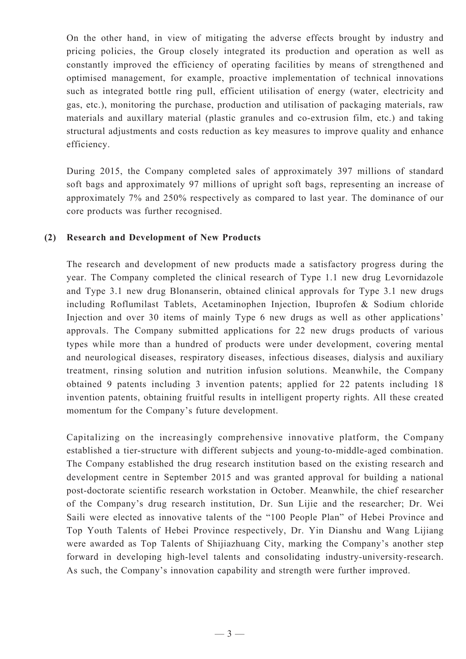On the other hand, in view of mitigating the adverse effects brought by industry and pricing policies, the Group closely integrated its production and operation as well as constantly improved the efficiency of operating facilities by means of strengthened and optimised management, for example, proactive implementation of technical innovations such as integrated bottle ring pull, efficient utilisation of energy (water, electricity and gas, etc.), monitoring the purchase, production and utilisation of packaging materials, raw materials and auxillary material (plastic granules and co-extrusion film, etc.) and taking structural adjustments and costs reduction as key measures to improve quality and enhance efficiency.

During 2015, the Company completed sales of approximately 397 millions of standard soft bags and approximately 97 millions of upright soft bags, representing an increase of approximately 7% and 250% respectively as compared to last year. The dominance of our core products was further recognised.

#### **(2) Research and Development of New Products**

The research and development of new products made a satisfactory progress during the year. The Company completed the clinical research of Type 1.1 new drug Levornidazole and Type 3.1 new drug Blonanserin, obtained clinical approvals for Type 3.1 new drugs including Roflumilast Tablets, Acetaminophen Injection, Ibuprofen & Sodium chloride Injection and over 30 items of mainly Type 6 new drugs as well as other applications' approvals. The Company submitted applications for 22 new drugs products of various types while more than a hundred of products were under development, covering mental and neurological diseases, respiratory diseases, infectious diseases, dialysis and auxiliary treatment, rinsing solution and nutrition infusion solutions. Meanwhile, the Company obtained 9 patents including 3 invention patents; applied for 22 patents including 18 invention patents, obtaining fruitful results in intelligent property rights. All these created momentum for the Company's future development.

Capitalizing on the increasingly comprehensive innovative platform, the Company established a tier-structure with different subjects and young-to-middle-aged combination. The Company established the drug research institution based on the existing research and development centre in September 2015 and was granted approval for building a national post-doctorate scientific research workstation in October. Meanwhile, the chief researcher of the Company's drug research institution, Dr. Sun Lijie and the researcher; Dr. Wei Saili were elected as innovative talents of the "100 People Plan" of Hebei Province and Top Youth Talents of Hebei Province respectively, Dr. Yin Dianshu and Wang Lijiang were awarded as Top Talents of Shijiazhuang City, marking the Company's another step forward in developing high-level talents and consolidating industry-university-research. As such, the Company's innovation capability and strength were further improved.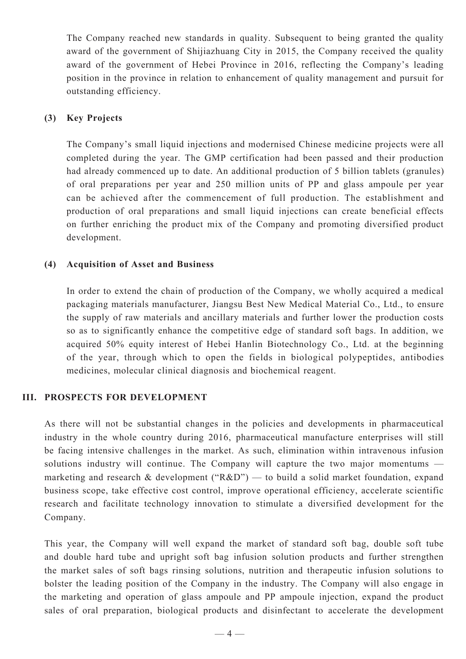The Company reached new standards in quality. Subsequent to being granted the quality award of the government of Shijiazhuang City in 2015, the Company received the quality award of the government of Hebei Province in 2016, reflecting the Company's leading position in the province in relation to enhancement of quality management and pursuit for outstanding efficiency.

### **(3) Key Projects**

The Company's small liquid injections and modernised Chinese medicine projects were all completed during the year. The GMP certification had been passed and their production had already commenced up to date. An additional production of 5 billion tablets (granules) of oral preparations per year and 250 million units of PP and glass ampoule per year can be achieved after the commencement of full production. The establishment and production of oral preparations and small liquid injections can create beneficial effects on further enriching the product mix of the Company and promoting diversified product development.

#### **(4) Acquisition of Asset and Business**

In order to extend the chain of production of the Company, we wholly acquired a medical packaging materials manufacturer, Jiangsu Best New Medical Material Co., Ltd., to ensure the supply of raw materials and ancillary materials and further lower the production costs so as to significantly enhance the competitive edge of standard soft bags. In addition, we acquired 50% equity interest of Hebei Hanlin Biotechnology Co., Ltd. at the beginning of the year, through which to open the fields in biological polypeptides, antibodies medicines, molecular clinical diagnosis and biochemical reagent.

#### **III. PROSPECTS for development**

As there will not be substantial changes in the policies and developments in pharmaceutical industry in the whole country during 2016, pharmaceutical manufacture enterprises will still be facing intensive challenges in the market. As such, elimination within intravenous infusion solutions industry will continue. The Company will capture the two major momentums marketing and research & development (" $R&D$ ") — to build a solid market foundation, expand business scope, take effective cost control, improve operational efficiency, accelerate scientific research and facilitate technology innovation to stimulate a diversified development for the Company.

This year, the Company will well expand the market of standard soft bag, double soft tube and double hard tube and upright soft bag infusion solution products and further strengthen the market sales of soft bags rinsing solutions, nutrition and therapeutic infusion solutions to bolster the leading position of the Company in the industry. The Company will also engage in the marketing and operation of glass ampoule and PP ampoule injection, expand the product sales of oral preparation, biological products and disinfectant to accelerate the development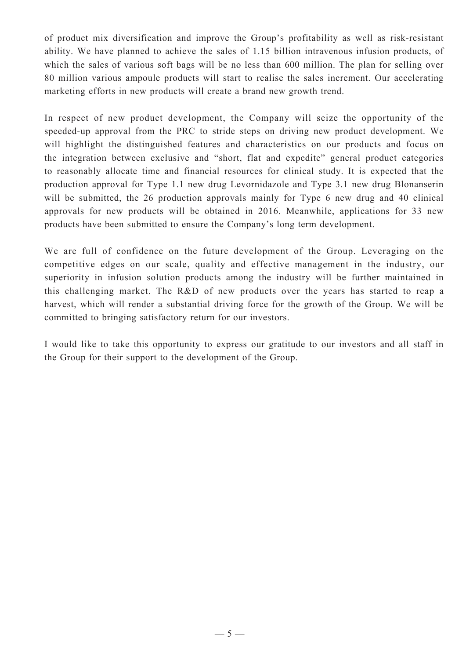of product mix diversification and improve the Group's profitability as well as risk-resistant ability. We have planned to achieve the sales of 1.15 billion intravenous infusion products, of which the sales of various soft bags will be no less than 600 million. The plan for selling over 80 million various ampoule products will start to realise the sales increment. Our accelerating marketing efforts in new products will create a brand new growth trend.

In respect of new product development, the Company will seize the opportunity of the speeded-up approval from the PRC to stride steps on driving new product development. We will highlight the distinguished features and characteristics on our products and focus on the integration between exclusive and "short, flat and expedite" general product categories to reasonably allocate time and financial resources for clinical study. It is expected that the production approval for Type 1.1 new drug Levornidazole and Type 3.1 new drug Blonanserin will be submitted, the 26 production approvals mainly for Type 6 new drug and 40 clinical approvals for new products will be obtained in 2016. Meanwhile, applications for 33 new products have been submitted to ensure the Company's long term development.

We are full of confidence on the future development of the Group. Leveraging on the competitive edges on our scale, quality and effective management in the industry, our superiority in infusion solution products among the industry will be further maintained in this challenging market. The R&D of new products over the years has started to reap a harvest, which will render a substantial driving force for the growth of the Group. We will be committed to bringing satisfactory return for our investors.

I would like to take this opportunity to express our gratitude to our investors and all staff in the Group for their support to the development of the Group.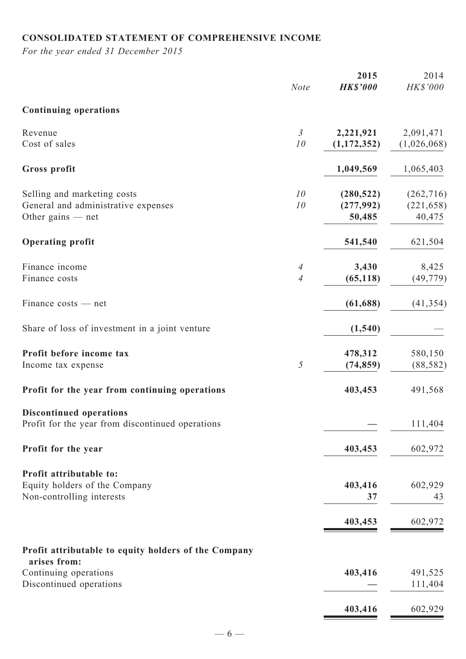# **Consolidated statement of comprehensive income**

*For the year ended 31 December 2015*

|                                                                                           | <b>Note</b>                      | 2015<br><b>HK\$'000</b>           | 2014<br>HK\$'000                   |
|-------------------------------------------------------------------------------------------|----------------------------------|-----------------------------------|------------------------------------|
| <b>Continuing operations</b>                                                              |                                  |                                   |                                    |
| Revenue<br>Cost of sales                                                                  | $\mathfrak{Z}$<br>10             | 2,221,921<br>(1,172,352)          | 2,091,471<br>(1,026,068)           |
| Gross profit                                                                              |                                  | 1,049,569                         | 1,065,403                          |
| Selling and marketing costs<br>General and administrative expenses<br>Other gains $-$ net | 10<br>10                         | (280, 522)<br>(277,992)<br>50,485 | (262, 716)<br>(221, 658)<br>40,475 |
| <b>Operating profit</b>                                                                   |                                  | 541,540                           | 621,504                            |
| Finance income<br>Finance costs                                                           | $\overline{A}$<br>$\overline{A}$ | 3,430<br>(65, 118)                | 8,425<br>(49, 779)                 |
| Finance costs — net                                                                       |                                  | (61, 688)                         | (41, 354)                          |
| Share of loss of investment in a joint venture                                            |                                  | (1,540)                           |                                    |
| Profit before income tax<br>Income tax expense                                            | 5                                | 478,312<br>(74, 859)              | 580,150<br>(88, 582)               |
| Profit for the year from continuing operations                                            |                                  | 403,453                           | 491,568                            |
| <b>Discontinued operations</b><br>Profit for the year from discontinued operations        |                                  |                                   | 111,404                            |
| Profit for the year                                                                       |                                  | 403,453                           | 602,972                            |
| Profit attributable to:<br>Equity holders of the Company<br>Non-controlling interests     |                                  | 403,416<br>37                     | 602,929<br>43                      |
|                                                                                           |                                  | 403,453                           | 602,972                            |
| Profit attributable to equity holders of the Company                                      |                                  |                                   |                                    |
| arises from:<br>Continuing operations<br>Discontinued operations                          |                                  | 403,416                           | 491,525<br>111,404                 |
|                                                                                           |                                  | 403,416                           | 602,929                            |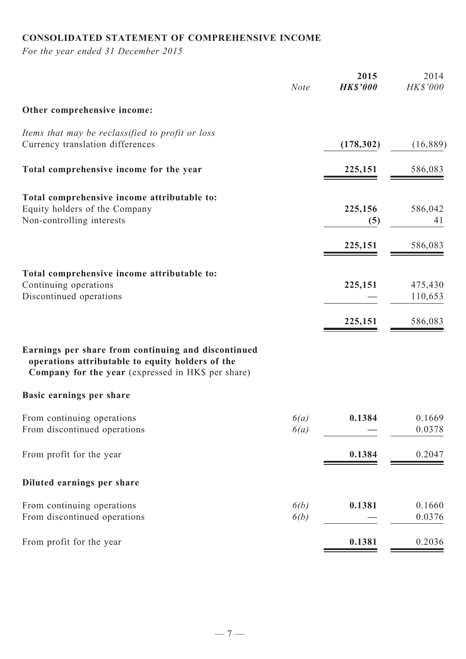# **Consolidated statement of comprehensive income**

*For the year ended 31 December 2015*

|                                                                                                                                                               | <b>Note</b>  | 2015<br><b>HK\$'000</b> | 2014<br><b>HK\$'000</b> |
|---------------------------------------------------------------------------------------------------------------------------------------------------------------|--------------|-------------------------|-------------------------|
| Other comprehensive income:                                                                                                                                   |              |                         |                         |
| Items that may be reclassified to profit or loss<br>Currency translation differences                                                                          |              | (178, 302)              | (16, 889)               |
| Total comprehensive income for the year                                                                                                                       |              | 225,151                 | 586,083                 |
| Total comprehensive income attributable to:<br>Equity holders of the Company<br>Non-controlling interests                                                     |              | 225,156<br>(5)          | 586,042<br>41           |
|                                                                                                                                                               |              | 225,151                 | 586,083                 |
| Total comprehensive income attributable to:<br>Continuing operations<br>Discontinued operations                                                               |              | 225,151                 | 475,430<br>110,653      |
| Earnings per share from continuing and discontinued<br>operations attributable to equity holders of the<br>Company for the year (expressed in HK\$ per share) |              | 225,151                 | 586,083                 |
| Basic earnings per share                                                                                                                                      |              |                         |                         |
| From continuing operations<br>From discontinued operations                                                                                                    | 6(a)<br>6(a) | 0.1384                  | 0.1669<br>0.0378        |
| From profit for the year                                                                                                                                      |              | 0.1384                  | 0.2047                  |
| Diluted earnings per share                                                                                                                                    |              |                         |                         |
| From continuing operations<br>From discontinued operations                                                                                                    | 6(b)<br>6(b) | 0.1381                  | 0.1660<br>0.0376        |
| From profit for the year                                                                                                                                      |              | 0.1381                  | 0.2036                  |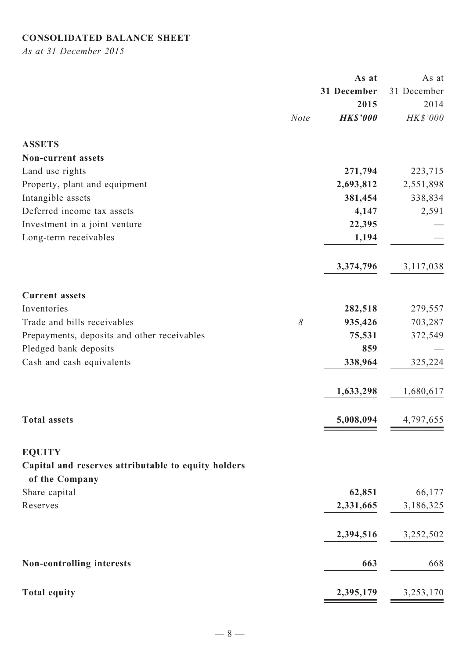# **Consolidated Balance Sheet**

*As at 31 December 2015*

|                                                     |             | As at           | As at       |
|-----------------------------------------------------|-------------|-----------------|-------------|
|                                                     |             | 31 December     | 31 December |
|                                                     |             | 2015            | 2014        |
|                                                     | <b>Note</b> | <b>HK\$'000</b> | HK\$'000    |
| <b>ASSETS</b>                                       |             |                 |             |
| <b>Non-current assets</b>                           |             |                 |             |
| Land use rights                                     |             | 271,794         | 223,715     |
| Property, plant and equipment                       |             | 2,693,812       | 2,551,898   |
| Intangible assets                                   |             | 381,454         | 338,834     |
| Deferred income tax assets                          |             | 4,147           | 2,591       |
| Investment in a joint venture                       |             | 22,395          |             |
| Long-term receivables                               |             | 1,194           |             |
|                                                     |             | 3,374,796       | 3,117,038   |
|                                                     |             |                 |             |
| <b>Current assets</b>                               |             |                 |             |
| Inventories                                         |             | 282,518         | 279,557     |
| Trade and bills receivables                         | $\delta$    | 935,426         | 703,287     |
| Prepayments, deposits and other receivables         |             | 75,531          | 372,549     |
| Pledged bank deposits                               |             | 859             |             |
| Cash and cash equivalents                           |             | 338,964         | 325,224     |
|                                                     |             | 1,633,298       | 1,680,617   |
| <b>Total assets</b>                                 |             | 5,008,094       | 4,797,655   |
|                                                     |             |                 |             |
| <b>EQUITY</b>                                       |             |                 |             |
| Capital and reserves attributable to equity holders |             |                 |             |
| of the Company                                      |             |                 |             |
| Share capital                                       |             | 62,851          | 66,177      |
| Reserves                                            |             | 2,331,665       | 3,186,325   |
|                                                     |             | 2,394,516       | 3,252,502   |
| <b>Non-controlling interests</b>                    |             | 663             | 668         |
|                                                     |             |                 |             |
| <b>Total equity</b>                                 |             | 2,395,179       | 3,253,170   |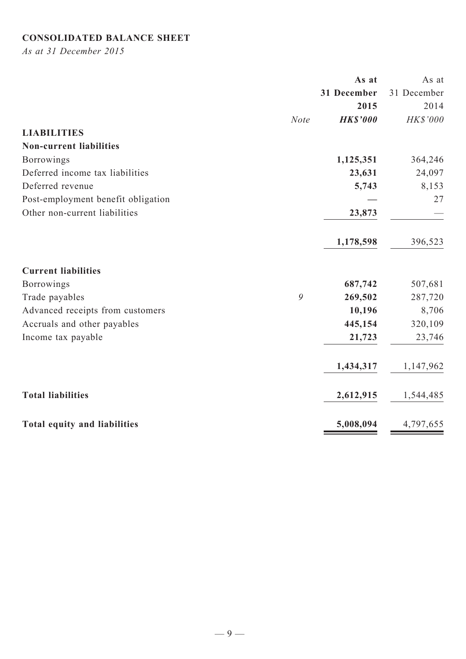# **Consolidated balance sheet**

*As at 31 December 2015*

|                                    |             | As at           | As at       |
|------------------------------------|-------------|-----------------|-------------|
|                                    |             | 31 December     | 31 December |
|                                    |             | 2015            | 2014        |
|                                    | <b>Note</b> | <b>HK\$'000</b> | HK\$'000    |
| <b>LIABILITIES</b>                 |             |                 |             |
| <b>Non-current liabilities</b>     |             |                 |             |
| <b>Borrowings</b>                  |             | 1,125,351       | 364,246     |
| Deferred income tax liabilities    |             | 23,631          | 24,097      |
| Deferred revenue                   |             | 5,743           | 8,153       |
| Post-employment benefit obligation |             |                 | 27          |
| Other non-current liabilities      |             | 23,873          |             |
|                                    |             | 1,178,598       | 396,523     |
| <b>Current liabilities</b>         |             |                 |             |
| <b>Borrowings</b>                  |             | 687,742         | 507,681     |
| Trade payables                     | 9           | 269,502         | 287,720     |
| Advanced receipts from customers   |             | 10,196          | 8,706       |
| Accruals and other payables        |             | 445,154         | 320,109     |
| Income tax payable                 |             | 21,723          | 23,746      |
|                                    |             | 1,434,317       | 1,147,962   |
| <b>Total liabilities</b>           |             | 2,612,915       | 1,544,485   |
| Total equity and liabilities       |             | 5,008,094       | 4,797,655   |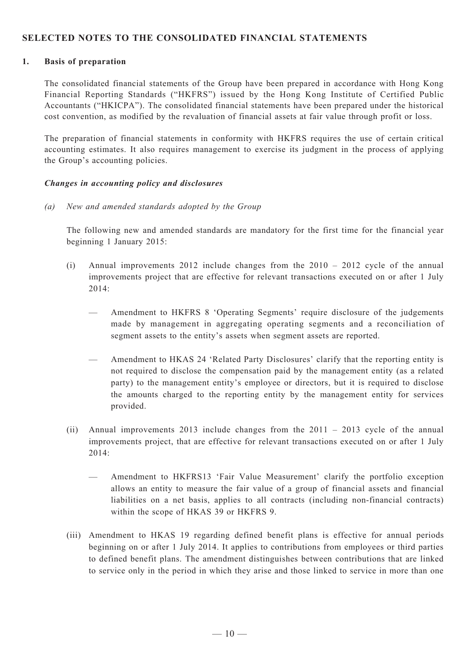### **SELECTED NOTES TO THE CONSOLIDATED FINANCIAL STATEMENTS**

#### **1. Basis of preparation**

The consolidated financial statements of the Group have been prepared in accordance with Hong Kong Financial Reporting Standards ("HKFRS") issued by the Hong Kong Institute of Certified Public Accountants ("HKICPA"). The consolidated financial statements have been prepared under the historical cost convention, as modified by the revaluation of financial assets at fair value through profit or loss.

The preparation of financial statements in conformity with HKFRS requires the use of certain critical accounting estimates. It also requires management to exercise its judgment in the process of applying the Group's accounting policies.

#### *Changes in accounting policy and disclosures*

*(a) New and amended standards adopted by the Group* 

The following new and amended standards are mandatory for the first time for the financial year beginning 1 January 2015:

- (i) Annual improvements 2012 include changes from the 2010 2012 cycle of the annual improvements project that are effective for relevant transactions executed on or after 1 July 2014:
	- Amendment to HKFRS 8 'Operating Segments' require disclosure of the judgements made by management in aggregating operating segments and a reconciliation of segment assets to the entity's assets when segment assets are reported.
	- Amendment to HKAS 24 'Related Party Disclosures' clarify that the reporting entity is not required to disclose the compensation paid by the management entity (as a related party) to the management entity's employee or directors, but it is required to disclose the amounts charged to the reporting entity by the management entity for services provided.
- (ii) Annual improvements 2013 include changes from the 2011 2013 cycle of the annual improvements project, that are effective for relevant transactions executed on or after 1 July  $2014$ <sup>-</sup>
	- Amendment to HKFRS13 'Fair Value Measurement' clarify the portfolio exception allows an entity to measure the fair value of a group of financial assets and financial liabilities on a net basis, applies to all contracts (including non-financial contracts) within the scope of HKAS 39 or HKFRS 9.
- (iii) Amendment to HKAS 19 regarding defined benefit plans is effective for annual periods beginning on or after 1 July 2014. It applies to contributions from employees or third parties to defined benefit plans. The amendment distinguishes between contributions that are linked to service only in the period in which they arise and those linked to service in more than one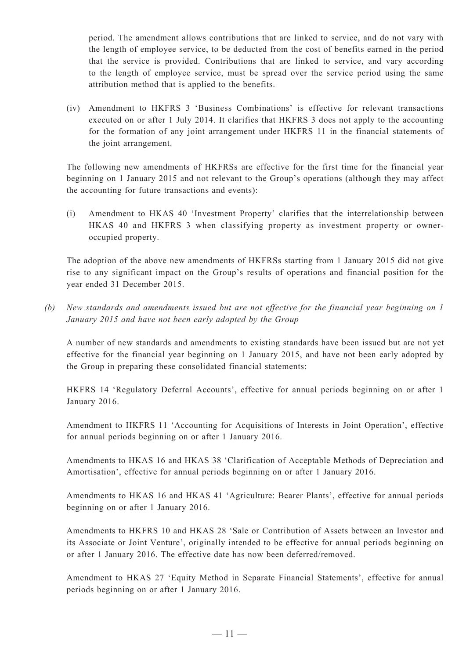period. The amendment allows contributions that are linked to service, and do not vary with the length of employee service, to be deducted from the cost of benefits earned in the period that the service is provided. Contributions that are linked to service, and vary according to the length of employee service, must be spread over the service period using the same attribution method that is applied to the benefits.

(iv) Amendment to HKFRS 3 'Business Combinations' is effective for relevant transactions executed on or after 1 July 2014. It clarifies that HKFRS 3 does not apply to the accounting for the formation of any joint arrangement under HKFRS 11 in the financial statements of the joint arrangement.

The following new amendments of HKFRSs are effective for the first time for the financial year beginning on 1 January 2015 and not relevant to the Group's operations (although they may affect the accounting for future transactions and events):

(i) Amendment to HKAS 40 'Investment Property' clarifies that the interrelationship between HKAS 40 and HKFRS 3 when classifying property as investment property or owneroccupied property.

The adoption of the above new amendments of HKFRSs starting from 1 January 2015 did not give rise to any significant impact on the Group's results of operations and financial position for the year ended 31 December 2015.

*(b) New standards and amendments issued but are not effective for the financial year beginning on 1 January 2015 and have not been early adopted by the Group*

A number of new standards and amendments to existing standards have been issued but are not yet effective for the financial year beginning on 1 January 2015, and have not been early adopted by the Group in preparing these consolidated financial statements:

HKFRS 14 'Regulatory Deferral Accounts', effective for annual periods beginning on or after 1 January 2016.

Amendment to HKFRS 11 'Accounting for Acquisitions of Interests in Joint Operation', effective for annual periods beginning on or after 1 January 2016.

Amendments to HKAS 16 and HKAS 38 'Clarification of Acceptable Methods of Depreciation and Amortisation', effective for annual periods beginning on or after 1 January 2016.

Amendments to HKAS 16 and HKAS 41 'Agriculture: Bearer Plants', effective for annual periods beginning on or after 1 January 2016.

Amendments to HKFRS 10 and HKAS 28 'Sale or Contribution of Assets between an Investor and its Associate or Joint Venture', originally intended to be effective for annual periods beginning on or after 1 January 2016. The effective date has now been deferred/removed.

Amendment to HKAS 27 'Equity Method in Separate Financial Statements', effective for annual periods beginning on or after 1 January 2016.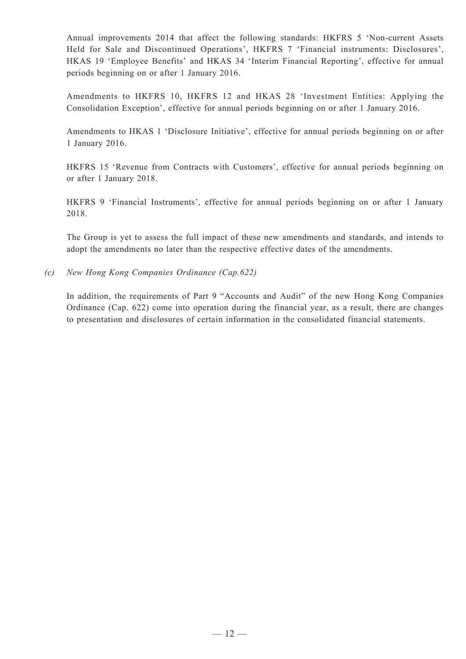Annual improvements 2014 that affect the following standards: HKFRS 5 'Non-current Assets Held for Sale and Discontinued Operations', HKFRS 7 'Financial instruments: Disclosures', HKAS 19 'Employee Benefits' and HKAS 34 'Interim Financial Reporting', effective for annual periods beginning on or after 1 January 2016.

Amendments to HKFRS 10, HKFRS 12 and HKAS 28 'Investment Entities: Applying the Consolidation Exception', effective for annual periods beginning on or after 1 January 2016.

Amendments to HKAS 1 'Disclosure Initiative', effective for annual periods beginning on or after 1 January 2016.

HKFRS 15 'Revenue from Contracts with Customers', effective for annual periods beginning on or after 1 January 2018.

HKFRS 9 'Financial Instruments', effective for annual periods beginning on or after 1 January 2018.

The Group is yet to assess the full impact of these new amendments and standards, and intends to adopt the amendments no later than the respective effective dates of the amendments.

*(c) New Hong Kong Companies Ordinance (Cap.622)*

In addition, the requirements of Part 9 "Accounts and Audit" of the new Hong Kong Companies Ordinance (Cap. 622) come into operation during the financial year, as a result, there are changes to presentation and disclosures of certain information in the consolidated financial statements.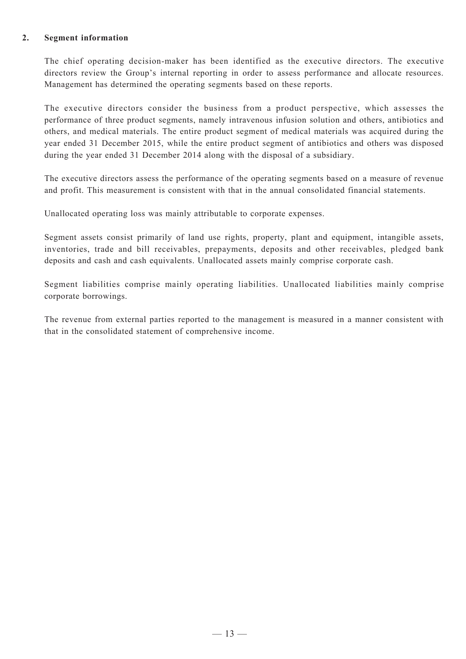#### **2. Segment information**

The chief operating decision-maker has been identified as the executive directors. The executive directors review the Group's internal reporting in order to assess performance and allocate resources. Management has determined the operating segments based on these reports.

The executive directors consider the business from a product perspective, which assesses the performance of three product segments, namely intravenous infusion solution and others, antibiotics and others, and medical materials. The entire product segment of medical materials was acquired during the year ended 31 December 2015, while the entire product segment of antibiotics and others was disposed during the year ended 31 December 2014 along with the disposal of a subsidiary.

The executive directors assess the performance of the operating segments based on a measure of revenue and profit. This measurement is consistent with that in the annual consolidated financial statements.

Unallocated operating loss was mainly attributable to corporate expenses.

Segment assets consist primarily of land use rights, property, plant and equipment, intangible assets, inventories, trade and bill receivables, prepayments, deposits and other receivables, pledged bank deposits and cash and cash equivalents. Unallocated assets mainly comprise corporate cash.

Segment liabilities comprise mainly operating liabilities. Unallocated liabilities mainly comprise corporate borrowings.

The revenue from external parties reported to the management is measured in a manner consistent with that in the consolidated statement of comprehensive income.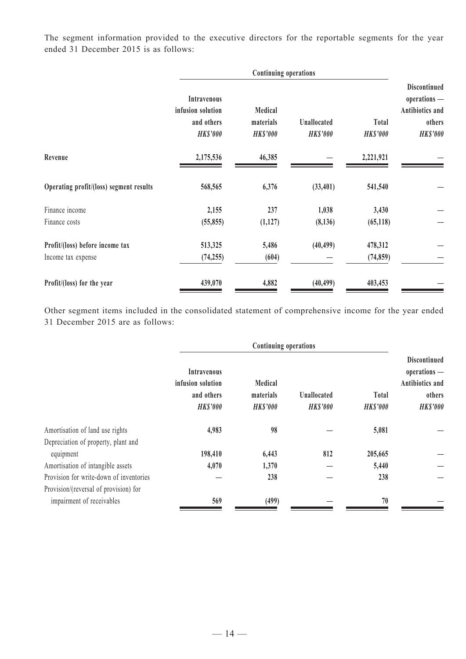The segment information provided to the executive directors for the reportable segments for the year ended 31 December 2015 is as follows:

|                                         | <b>Continuing operations</b>                                             |                                         |                                |                          |                                                                                     |
|-----------------------------------------|--------------------------------------------------------------------------|-----------------------------------------|--------------------------------|--------------------------|-------------------------------------------------------------------------------------|
|                                         | <b>Intravenous</b><br>infusion solution<br>and others<br><b>HK\$'000</b> | Medical<br>materials<br><b>HK\$'000</b> | Unallocated<br><b>HK\$'000</b> | Total<br><b>HK\$'000</b> | <b>Discontinued</b><br>operations -<br>Antibiotics and<br>others<br><b>HK\$'000</b> |
| Revenue                                 | 2,175,536                                                                | 46,385                                  |                                | 2,221,921                |                                                                                     |
| Operating profit/(loss) segment results | 568,565                                                                  | 6,376                                   | (33, 401)                      | 541,540                  |                                                                                     |
| Finance income                          | 2,155                                                                    | 237                                     | 1,038                          | 3,430                    |                                                                                     |
| Finance costs                           | (55, 855)                                                                | (1,127)                                 | (8, 136)                       | (65, 118)                |                                                                                     |
| Profit/(loss) before income tax         | 513,325                                                                  | 5,486                                   | (40, 499)                      | 478,312                  |                                                                                     |
| Income tax expense                      | (74, 255)                                                                | (604)                                   |                                | (74, 859)                |                                                                                     |
| Profit/(loss) for the year              | 439,070                                                                  | 4,882                                   | (40, 499)                      | 403,453                  |                                                                                     |

Other segment items included in the consolidated statement of comprehensive income for the year ended 31 December 2015 are as follows:

|                                         | <b>Continuing operations</b>                                      |                                        |                                |                                 |                                                                                     |  |
|-----------------------------------------|-------------------------------------------------------------------|----------------------------------------|--------------------------------|---------------------------------|-------------------------------------------------------------------------------------|--|
|                                         | Intravenous<br>infusion solution<br>and others<br><b>HK\$'000</b> | Medical<br>materials<br><b>HKS'000</b> | Unallocated<br><b>HK\$'000</b> | <b>Total</b><br><b>HK\$'000</b> | <b>Discontinued</b><br>operations -<br>Antibiotics and<br>others<br><b>HK\$'000</b> |  |
| Amortisation of land use rights         | 4,983                                                             | 98                                     |                                | 5,081                           |                                                                                     |  |
| Depreciation of property, plant and     |                                                                   |                                        |                                |                                 |                                                                                     |  |
| equipment                               | 198,410                                                           | 6,443                                  | 812                            | 205,665                         |                                                                                     |  |
| Amortisation of intangible assets       | 4,070                                                             | 1,370                                  |                                | 5,440                           |                                                                                     |  |
| Provision for write-down of inventories |                                                                   | 238                                    |                                | 238                             |                                                                                     |  |
| Provision/(reversal of provision) for   |                                                                   |                                        |                                |                                 |                                                                                     |  |
| impairment of receivables               | 569                                                               | (499)                                  |                                | 70                              |                                                                                     |  |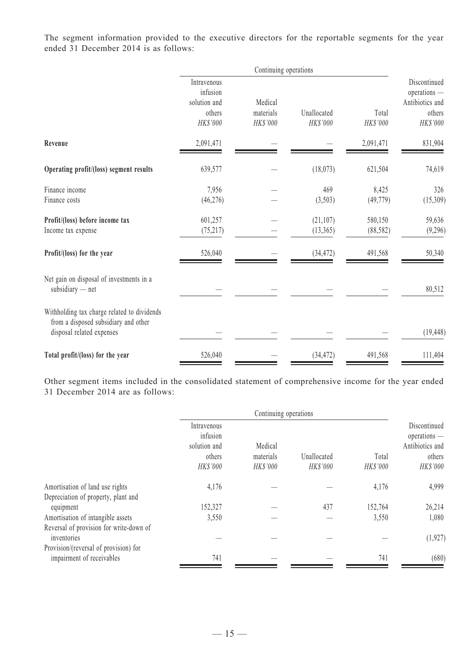The segment information provided to the executive directors for the reportable segments for the year ended 31 December 2014 is as follows:

|                                                                                                                  | Continuing operations                   |                       |                         |                   |                                                 |  |
|------------------------------------------------------------------------------------------------------------------|-----------------------------------------|-----------------------|-------------------------|-------------------|-------------------------------------------------|--|
|                                                                                                                  | Intravenous<br>infusion<br>solution and | Medical               |                         |                   | Discontinued<br>operations -<br>Antibiotics and |  |
|                                                                                                                  | others<br>HK\$'000                      | materials<br>HK\$'000 | Unallocated<br>HK\$'000 | Total<br>HK\$'000 | others<br>HK\$'000                              |  |
| Revenue                                                                                                          | 2,091,471                               |                       |                         | 2,091,471         | 831,904                                         |  |
| Operating profit/(loss) segment results                                                                          | 639,577                                 |                       | (18,073)                | 621,504           | 74,619                                          |  |
| Finance income                                                                                                   | 7,956                                   |                       | 469                     | 8,425             | 326                                             |  |
| Finance costs                                                                                                    | (46, 276)                               |                       | (3,503)                 | (49, 779)         | (15,309)                                        |  |
| Profit/(loss) before income tax                                                                                  | 601,257                                 |                       | (21, 107)               | 580,150           | 59,636                                          |  |
| Income tax expense                                                                                               | (75, 217)                               |                       | (13, 365)               | (88, 582)         | (9,296)                                         |  |
| Profit/(loss) for the year                                                                                       | 526,040                                 |                       | (34, 472)               | 491,568           | 50,340                                          |  |
| Net gain on disposal of investments in a<br>$subsidiary$ - net                                                   |                                         |                       |                         |                   | 80,512                                          |  |
| Withholding tax charge related to dividends<br>from a disposed subsidiary and other<br>disposal related expenses |                                         |                       |                         |                   | (19, 448)                                       |  |
| Total profit/(loss) for the year                                                                                 | 526,040                                 |                       | (34, 472)               | 491,568           | 111,404                                         |  |

Other segment items included in the consolidated statement of comprehensive income for the year ended 31 December 2014 are as follows:

|                                                        | Continuing operations                                         |                                         |                                |                          |                                                                         |
|--------------------------------------------------------|---------------------------------------------------------------|-----------------------------------------|--------------------------------|--------------------------|-------------------------------------------------------------------------|
|                                                        | Intravenous<br>infusion<br>solution and<br>others<br>HK\$'000 | Medical<br>materials<br><b>HK\$'000</b> | Unallocated<br><b>HK\$'000</b> | Total<br><b>HK\$'000</b> | Discontinued<br>$operations$ —<br>Antibiotics and<br>others<br>HK\$'000 |
| Amortisation of land use rights                        | 4,176                                                         |                                         |                                | 4,176                    | 4,999                                                                   |
| Depreciation of property, plant and                    |                                                               |                                         |                                |                          |                                                                         |
| equipment                                              | 152,327                                                       |                                         | 437                            | 152,764                  | 26,214                                                                  |
| Amortisation of intangible assets                      | 3,550                                                         |                                         |                                | 3,550                    | 1,080                                                                   |
| Reversal of provision for write-down of<br>inventories |                                                               |                                         |                                |                          | (1, 927)                                                                |
| Provision/(reversal of provision) for                  |                                                               |                                         |                                |                          |                                                                         |
| impairment of receivables                              | 741                                                           |                                         |                                | 741                      | (680)                                                                   |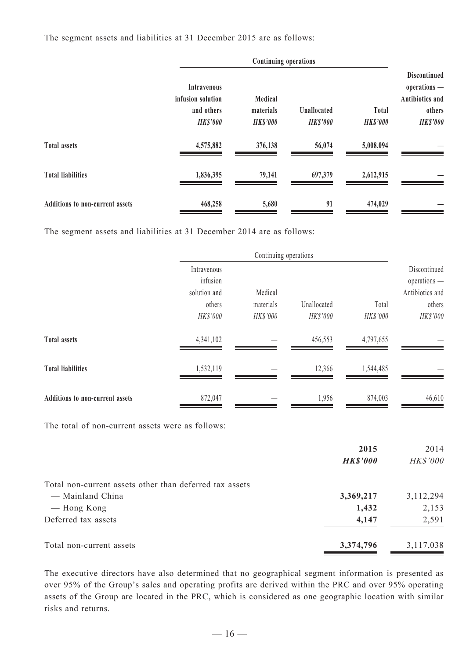The segment assets and liabilities at 31 December 2015 are as follows:

|                                        | <b>Intravenous</b><br>infusion solution<br>and others<br><b>HK\$'000</b> | Medical<br>materials<br><b>HK\$'000</b> | Unallocated<br><b>HK\$'000</b> | Total<br><b>HK\$'000</b> | <b>Discontinued</b><br>operations -<br>Antibiotics and<br>others<br><b>HK\$'000</b> |
|----------------------------------------|--------------------------------------------------------------------------|-----------------------------------------|--------------------------------|--------------------------|-------------------------------------------------------------------------------------|
| <b>Total assets</b>                    | 4,575,882                                                                | 376,138                                 | 56,074                         | 5,008,094                |                                                                                     |
| <b>Total liabilities</b>               | 1,836,395                                                                | 79,141                                  | 697,379                        | 2,612,915                |                                                                                     |
| <b>Additions to non-current assets</b> | 468,258                                                                  | 5,680                                   | 91                             | 474,029                  |                                                                                     |

The segment assets and liabilities at 31 December 2014 are as follows:

|                                 |                                         | Continuing operations |                         |                   |                                                 |  |
|---------------------------------|-----------------------------------------|-----------------------|-------------------------|-------------------|-------------------------------------------------|--|
|                                 | Intravenous<br>infusion<br>solution and | Medical               |                         |                   | Discontinued<br>operations -<br>Antibiotics and |  |
|                                 | others<br>HK\$'000                      | materials<br>HK\$'000 | Unallocated<br>HK\$'000 | Total<br>HK\$'000 | others<br>HK\$'000                              |  |
| <b>Total assets</b>             | 4,341,102                               |                       | 456,553                 | 4,797,655         |                                                 |  |
| <b>Total liabilities</b>        | 1,532,119                               |                       | 12,366                  | 1,544,485         |                                                 |  |
| Additions to non-current assets | 872,047                                 |                       | 1,956                   | 874,003           | 46,610                                          |  |

The total of non-current assets were as follows:

|                                                         | 2015            | 2014        |
|---------------------------------------------------------|-----------------|-------------|
|                                                         | <b>HK\$'000</b> | HK\$'000    |
| Total non-current assets other than deferred tax assets |                 |             |
| — Mainland China                                        | 3,369,217       | 3, 112, 294 |
| — Hong Kong                                             | 1,432           | 2,153       |
| Deferred tax assets                                     | 4,147           | 2,591       |
| Total non-current assets                                | 3,374,796       | 3,117,038   |

The executive directors have also determined that no geographical segment information is presented as over 95% of the Group's sales and operating profits are derived within the PRC and over 95% operating assets of the Group are located in the PRC, which is considered as one geographic location with similar risks and returns.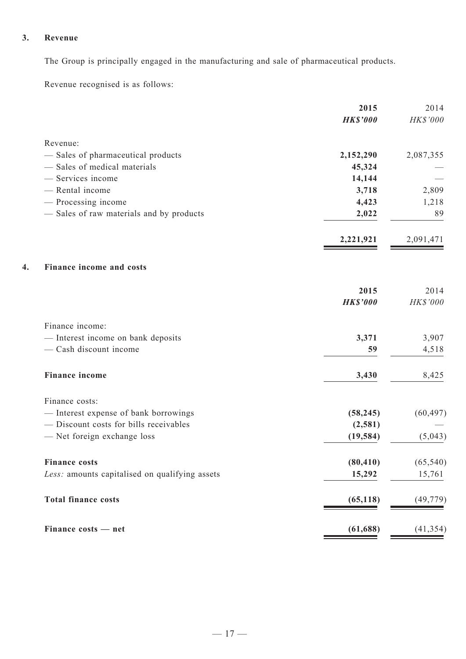## **3. Revenue**

The Group is principally engaged in the manufacturing and sale of pharmaceutical products.

Revenue recognised is as follows:

| 2015            | 2014               |
|-----------------|--------------------|
| <b>HK\$'000</b> | HK\$'000           |
|                 |                    |
| 2,152,290       | 2,087,355          |
| 45,324          |                    |
| 14,144          |                    |
| 3,718           | 2,809              |
|                 | 1,218              |
| 2,022           | 89                 |
| 2,221,921       | 2,091,471          |
|                 |                    |
| 2015            | 2014               |
| <b>HK\$'000</b> | HK\$'000           |
|                 |                    |
| 3,371           | 3,907              |
| 59              | 4,518              |
| 3,430           | 8,425              |
|                 |                    |
| (58, 245)       | (60, 497)          |
| (2, 581)        |                    |
| (19, 584)       | (5,043)            |
|                 | (65, 540)          |
| 15,292          | 15,761             |
| (65, 118)       | (49, 779)          |
| (61, 688)       | (41, 354)          |
|                 | 4,423<br>(80, 410) |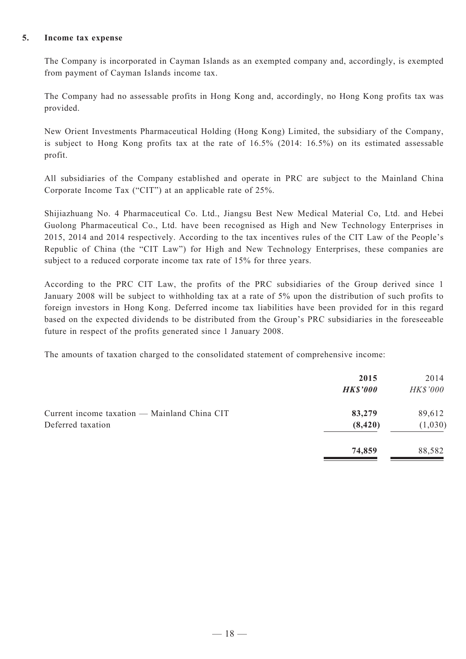#### **5. Income tax expense**

The Company is incorporated in Cayman Islands as an exempted company and, accordingly, is exempted from payment of Cayman Islands income tax.

The Company had no assessable profits in Hong Kong and, accordingly, no Hong Kong profits tax was provided.

New Orient Investments Pharmaceutical Holding (Hong Kong) Limited, the subsidiary of the Company, is subject to Hong Kong profits tax at the rate of 16.5% (2014: 16.5%) on its estimated assessable profit.

All subsidiaries of the Company established and operate in PRC are subject to the Mainland China Corporate Income Tax ("CIT") at an applicable rate of 25%.

Shijiazhuang No. 4 Pharmaceutical Co. Ltd., Jiangsu Best New Medical Material Co, Ltd. and Hebei Guolong Pharmaceutical Co., Ltd. have been recognised as High and New Technology Enterprises in 2015, 2014 and 2014 respectively. According to the tax incentives rules of the CIT Law of the People's Republic of China (the "CIT Law") for High and New Technology Enterprises, these companies are subject to a reduced corporate income tax rate of 15% for three years.

According to the PRC CIT Law, the profits of the PRC subsidiaries of the Group derived since 1 January 2008 will be subject to withholding tax at a rate of 5% upon the distribution of such profits to foreign investors in Hong Kong. Deferred income tax liabilities have been provided for in this regard based on the expected dividends to be distributed from the Group's PRC subsidiaries in the foreseeable future in respect of the profits generated since 1 January 2008.

The amounts of taxation charged to the consolidated statement of comprehensive income:

|                                                                   | 2015<br><b>HK\$'000</b> | 2014<br><b>HK\$'000</b> |
|-------------------------------------------------------------------|-------------------------|-------------------------|
| Current income taxation — Mainland China CIT<br>Deferred taxation | 83,279<br>(8, 420)      | 89,612<br>(1,030)       |
|                                                                   | 74,859                  | 88,582                  |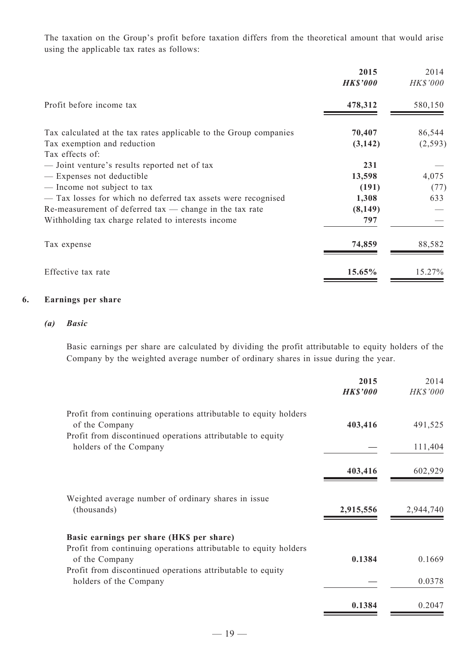The taxation on the Group's profit before taxation differs from the theoretical amount that would arise using the applicable tax rates as follows:

|                                                                   | 2015<br><b>HK\$'000</b> | 2014<br><b>HK\$'000</b> |
|-------------------------------------------------------------------|-------------------------|-------------------------|
| Profit before income tax                                          | 478,312                 | 580,150                 |
| Tax calculated at the tax rates applicable to the Group companies | 70,407                  | 86,544                  |
| Tax exemption and reduction                                       | (3, 142)                | (2, 593)                |
| Tax effects of:                                                   |                         |                         |
| — Joint venture's results reported net of tax                     | 231                     |                         |
| - Expenses not deductible                                         | 13,598                  | 4,075                   |
| - Income not subject to tax                                       | (191)                   | (77)                    |
| - Tax losses for which no deferred tax assets were recognised     | 1,308                   | 633                     |
| Re-measurement of deferred $tax$ - change in the $tax$ rate       | (8,149)                 |                         |
| Withholding tax charge related to interests income                | 797                     |                         |
| Tax expense                                                       | 74,859                  | 88,582                  |
| Effective tax rate                                                | 15.65%                  | 15.27%                  |

#### **6. Earnings per share**

#### *(a) Basic*

Basic earnings per share are calculated by dividing the profit attributable to equity holders of the Company by the weighted average number of ordinary shares in issue during the year.

|                                                                                      | 2015<br><b>HK\$'000</b> | 2014<br><b>HK\$'000</b> |
|--------------------------------------------------------------------------------------|-------------------------|-------------------------|
| Profit from continuing operations attributable to equity holders                     |                         |                         |
| of the Company                                                                       | 403,416                 | 491,525                 |
| Profit from discontinued operations attributable to equity<br>holders of the Company |                         | 111,404                 |
|                                                                                      | 403,416                 | 602,929                 |
| Weighted average number of ordinary shares in issue<br>(thousands)                   | 2,915,556               | 2,944,740               |
| Basic earnings per share (HK\$ per share)                                            |                         |                         |
| Profit from continuing operations attributable to equity holders<br>of the Company   | 0.1384                  | 0.1669                  |
| Profit from discontinued operations attributable to equity                           |                         |                         |
| holders of the Company                                                               |                         | 0.0378                  |
|                                                                                      | 0.1384                  | 0.2047                  |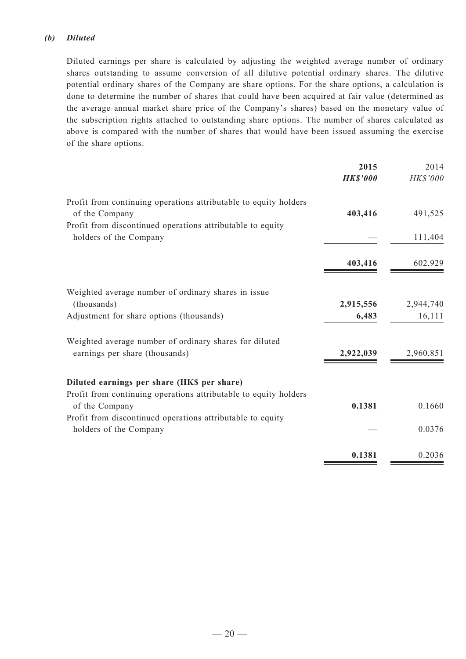### *(b) Diluted*

Diluted earnings per share is calculated by adjusting the weighted average number of ordinary shares outstanding to assume conversion of all dilutive potential ordinary shares. The dilutive potential ordinary shares of the Company are share options. For the share options, a calculation is done to determine the number of shares that could have been acquired at fair value (determined as the average annual market share price of the Company's shares) based on the monetary value of the subscription rights attached to outstanding share options. The number of shares calculated as above is compared with the number of shares that would have been issued assuming the exercise of the share options.

|                                                                  | 2015            | 2014      |
|------------------------------------------------------------------|-----------------|-----------|
|                                                                  | <b>HK\$'000</b> | HK\$'000  |
| Profit from continuing operations attributable to equity holders |                 |           |
| of the Company                                                   | 403,416         | 491,525   |
| Profit from discontinued operations attributable to equity       |                 |           |
| holders of the Company                                           |                 | 111,404   |
|                                                                  | 403,416         |           |
|                                                                  |                 | 602,929   |
| Weighted average number of ordinary shares in issue              |                 |           |
| (thousands)                                                      | 2,915,556       | 2,944,740 |
| Adjustment for share options (thousands)                         | 6,483           | 16,111    |
| Weighted average number of ordinary shares for diluted           |                 |           |
| earnings per share (thousands)                                   | 2,922,039       | 2,960,851 |
|                                                                  |                 |           |
| Diluted earnings per share (HK\$ per share)                      |                 |           |
| Profit from continuing operations attributable to equity holders |                 |           |
| of the Company                                                   | 0.1381          | 0.1660    |
| Profit from discontinued operations attributable to equity       |                 |           |
| holders of the Company                                           |                 | 0.0376    |
|                                                                  | 0.1381          | 0.2036    |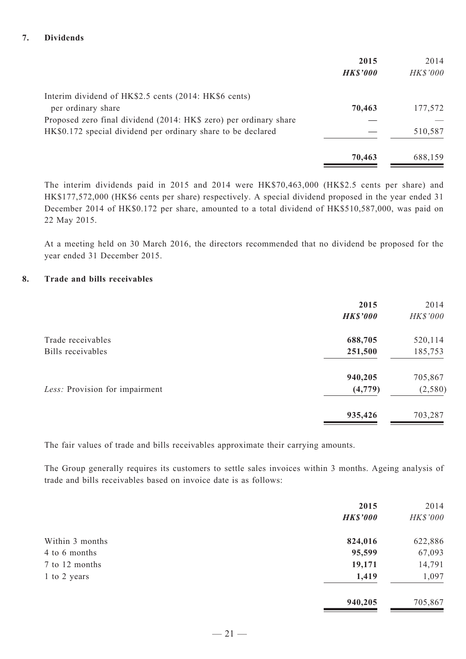#### **7. Dividends**

|                                                                   | 2015            | 2014            |
|-------------------------------------------------------------------|-----------------|-----------------|
|                                                                   | <b>HK\$'000</b> | <b>HK\$'000</b> |
| Interim dividend of HK\$2.5 cents (2014: HK\$6 cents)             |                 |                 |
| per ordinary share                                                | 70,463          | 177,572         |
| Proposed zero final dividend (2014: HK\$ zero) per ordinary share |                 |                 |
| HK\$0.172 special dividend per ordinary share to be declared      |                 | 510,587         |
|                                                                   | 70,463          | 688,159         |

The interim dividends paid in 2015 and 2014 were HK\$70,463,000 (HK\$2.5 cents per share) and HK\$177,572,000 (HK\$6 cents per share) respectively. A special dividend proposed in the year ended 31 December 2014 of HK\$0.172 per share, amounted to a total dividend of HK\$510,587,000, was paid on 22 May 2015.

At a meeting held on 30 March 2016, the directors recommended that no dividend be proposed for the year ended 31 December 2015.

#### **8. Trade and bills receivables**

|                                | 2015            | 2014     |
|--------------------------------|-----------------|----------|
|                                | <b>HK\$'000</b> | HK\$'000 |
| Trade receivables              | 688,705         | 520,114  |
| Bills receivables              | 251,500         | 185,753  |
|                                | 940,205         | 705,867  |
| Less: Provision for impairment | (4, 779)        | (2, 580) |
|                                | 935,426         | 703,287  |

The fair values of trade and bills receivables approximate their carrying amounts.

The Group generally requires its customers to settle sales invoices within 3 months. Ageing analysis of trade and bills receivables based on invoice date is as follows:

|                 | 2015<br><b>HK\$'000</b> | 2014<br>HK\$'000 |
|-----------------|-------------------------|------------------|
| Within 3 months | 824,016                 | 622,886          |
| 4 to 6 months   | 95,599                  | 67,093           |
| 7 to 12 months  | 19,171                  | 14,791           |
| 1 to 2 years    | 1,419                   | 1,097            |
|                 | 940,205                 | 705,867          |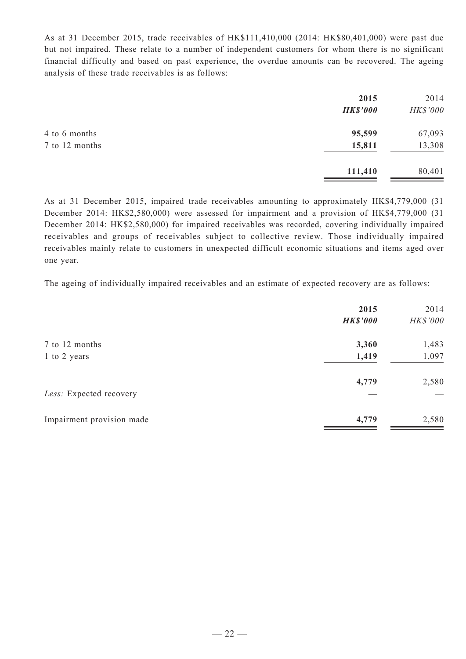As at 31 December 2015, trade receivables of HK\$111,410,000 (2014: HK\$80,401,000) were past due but not impaired. These relate to a number of independent customers for whom there is no significant financial difficulty and based on past experience, the overdue amounts can be recovered. The ageing analysis of these trade receivables is as follows:

|                | 2015            | 2014     |
|----------------|-----------------|----------|
|                | <b>HK\$'000</b> | HK\$'000 |
| 4 to 6 months  | 95,599          | 67,093   |
| 7 to 12 months | 15,811          | 13,308   |
|                | 111,410         | 80,401   |

As at 31 December 2015, impaired trade receivables amounting to approximately HK\$4,779,000 (31 December 2014: HK\$2,580,000) were assessed for impairment and a provision of HK\$4,779,000 (31 December 2014: HK\$2,580,000) for impaired receivables was recorded, covering individually impaired receivables and groups of receivables subject to collective review. Those individually impaired receivables mainly relate to customers in unexpected difficult economic situations and items aged over one year.

The ageing of individually impaired receivables and an estimate of expected recovery are as follows:

| 2015<br><b>HK\$'000</b> | 2014<br>HK\$'000 |
|-------------------------|------------------|
| 3,360                   | 1,483            |
| 1,419                   | 1,097            |
| 4,779                   | 2,580            |
| 4,779                   | 2,580            |
|                         |                  |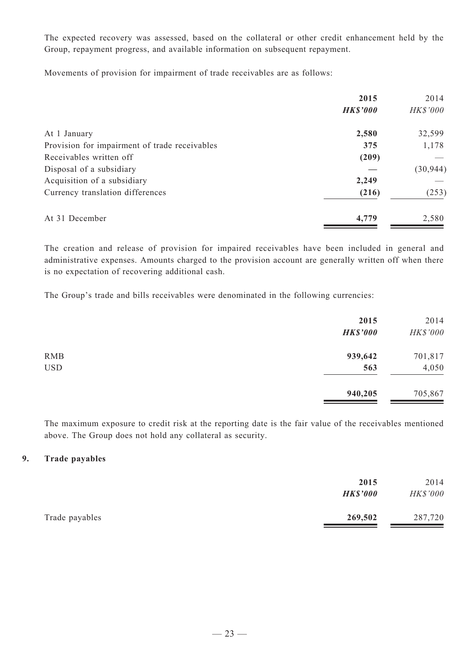The expected recovery was assessed, based on the collateral or other credit enhancement held by the Group, repayment progress, and available information on subsequent repayment.

Movements of provision for impairment of trade receivables are as follows:

|                                               | 2015            | 2014      |
|-----------------------------------------------|-----------------|-----------|
|                                               | <b>HK\$'000</b> | HK\$'000  |
| At 1 January                                  | 2,580           | 32,599    |
| Provision for impairment of trade receivables | 375             | 1,178     |
| Receivables written off                       | (209)           |           |
| Disposal of a subsidiary                      |                 | (30, 944) |
| Acquisition of a subsidiary                   | 2,249           |           |
| Currency translation differences              | (216)           | (253)     |
| At 31 December                                | 4,779           | 2,580     |

The creation and release of provision for impaired receivables have been included in general and administrative expenses. Amounts charged to the provision account are generally written off when there is no expectation of recovering additional cash.

The Group's trade and bills receivables were denominated in the following currencies:

| 2015<br><b>HK\$'000</b> | 2014<br>HK\$'000 |
|-------------------------|------------------|
| 939,642                 | 701,817          |
| 563                     | 4,050            |
| 940,205                 | 705,867          |
|                         |                  |

The maximum exposure to credit risk at the reporting date is the fair value of the receivables mentioned above. The Group does not hold any collateral as security.

### **9. Trade payables**

|                | 2015<br><b>HK\$'000</b> | 2014<br>HK\$'000 |
|----------------|-------------------------|------------------|
| Trade payables | 269,502                 | 287,720          |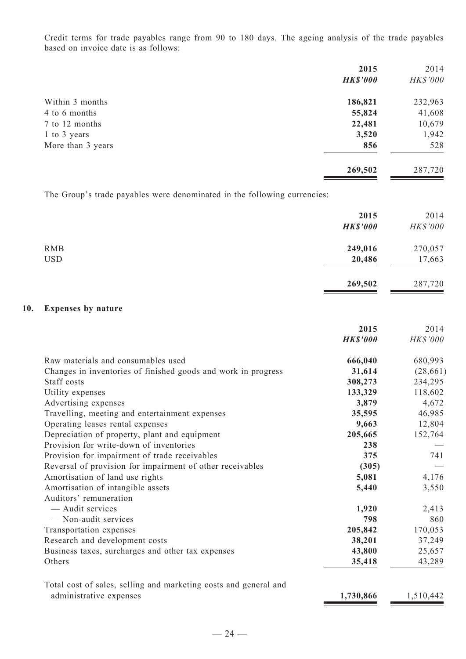Credit terms for trade payables range from 90 to 180 days. The ageing analysis of the trade payables based on invoice date is as follows:

|                   | 2015            | 2014     |
|-------------------|-----------------|----------|
|                   | <b>HK\$'000</b> | HK\$'000 |
| Within 3 months   | 186,821         | 232,963  |
| 4 to 6 months     | 55,824          | 41,608   |
| 7 to 12 months    | 22,481          | 10,679   |
| 1 to 3 years      | 3,520           | 1,942    |
| More than 3 years | 856             | 528      |
|                   | 269,502         | 287,720  |

The Group's trade payables were denominated in the following currencies:

|                          | 2015<br><b>HK\$'000</b> | 2014<br>HK\$'000  |
|--------------------------|-------------------------|-------------------|
| <b>RMB</b><br><b>USD</b> | 249,016<br>20,486       | 270,057<br>17,663 |
|                          | 269,502                 | 287,720           |

### **10. Expenses by nature**

|                                                                  | 2015            | 2014      |
|------------------------------------------------------------------|-----------------|-----------|
|                                                                  | <b>HK\$'000</b> | HK\$'000  |
| Raw materials and consumables used                               | 666,040         | 680,993   |
| Changes in inventories of finished goods and work in progress    | 31,614          | (28, 661) |
| Staff costs                                                      | 308,273         | 234,295   |
| Utility expenses                                                 | 133,329         | 118,602   |
| Advertising expenses                                             | 3,879           | 4,672     |
| Travelling, meeting and entertainment expenses                   | 35,595          | 46,985    |
| Operating leases rental expenses                                 | 9,663           | 12,804    |
| Depreciation of property, plant and equipment                    | 205,665         | 152,764   |
| Provision for write-down of inventories                          | 238             |           |
| Provision for impairment of trade receivables                    | 375             | 741       |
| Reversal of provision for impairment of other receivables        | (305)           |           |
| Amortisation of land use rights                                  | 5,081           | 4,176     |
| Amortisation of intangible assets                                | 5,440           | 3,550     |
| Auditors' remuneration                                           |                 |           |
| — Audit services                                                 | 1,920           | 2,413     |
| - Non-audit services                                             | 798             | 860       |
| Transportation expenses                                          | 205,842         | 170,053   |
| Research and development costs                                   | 38,201          | 37,249    |
| Business taxes, surcharges and other tax expenses                | 43,800          | 25,657    |
| Others                                                           | 35,418          | 43,289    |
| Total cost of sales, selling and marketing costs and general and |                 |           |
| administrative expenses                                          | 1,730,866       | 1,510,442 |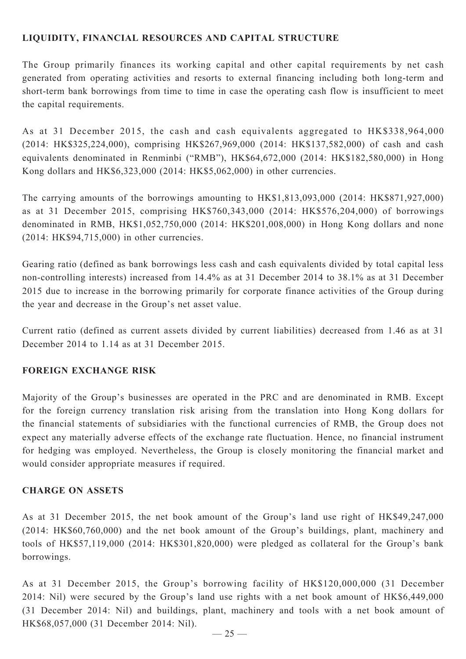## **LIQUIDITY, FINANCIAL RESOURCES and capital structure**

The Group primarily finances its working capital and other capital requirements by net cash generated from operating activities and resorts to external financing including both long-term and short-term bank borrowings from time to time in case the operating cash flow is insufficient to meet the capital requirements.

As at 31 December 2015, the cash and cash equivalents aggregated to HK\$338,964,000 (2014: HK\$325,224,000), comprising HK\$267,969,000 (2014: HK\$137,582,000) of cash and cash equivalents denominated in Renminbi ("RMB"), HK\$64,672,000 (2014: HK\$182,580,000) in Hong Kong dollars and HK\$6,323,000 (2014: HK\$5,062,000) in other currencies.

The carrying amounts of the borrowings amounting to HK\$1,813,093,000 (2014: HK\$871,927,000) as at 31 December 2015, comprising HK\$760,343,000 (2014: HK\$576,204,000) of borrowings denominated in RMB, HK\$1,052,750,000 (2014: HK\$201,008,000) in Hong Kong dollars and none (2014: HK\$94,715,000) in other currencies.

Gearing ratio (defined as bank borrowings less cash and cash equivalents divided by total capital less non-controlling interests) increased from 14.4% as at 31 December 2014 to 38.1% as at 31 December 2015 due to increase in the borrowing primarily for corporate finance activities of the Group during the year and decrease in the Group's net asset value.

Current ratio (defined as current assets divided by current liabilities) decreased from 1.46 as at 31 December 2014 to 1.14 as at 31 December 2015.

### **FOREIGN EXCHANGE RISK**

Majority of the Group's businesses are operated in the PRC and are denominated in RMB. Except for the foreign currency translation risk arising from the translation into Hong Kong dollars for the financial statements of subsidiaries with the functional currencies of RMB, the Group does not expect any materially adverse effects of the exchange rate fluctuation. Hence, no financial instrument for hedging was employed. Nevertheless, the Group is closely monitoring the financial market and would consider appropriate measures if required.

### **Charge on ASSETS**

As at 31 December 2015, the net book amount of the Group's land use right of HK\$49,247,000 (2014: HK\$60,760,000) and the net book amount of the Group's buildings, plant, machinery and tools of HK\$57,119,000 (2014: HK\$301,820,000) were pledged as collateral for the Group's bank borrowings.

As at 31 December 2015, the Group's borrowing facility of HK\$120,000,000 (31 December 2014: Nil) were secured by the Group's land use rights with a net book amount of HK\$6,449,000 (31 December 2014: Nil) and buildings, plant, machinery and tools with a net book amount of HK\$68,057,000 (31 December 2014: Nil).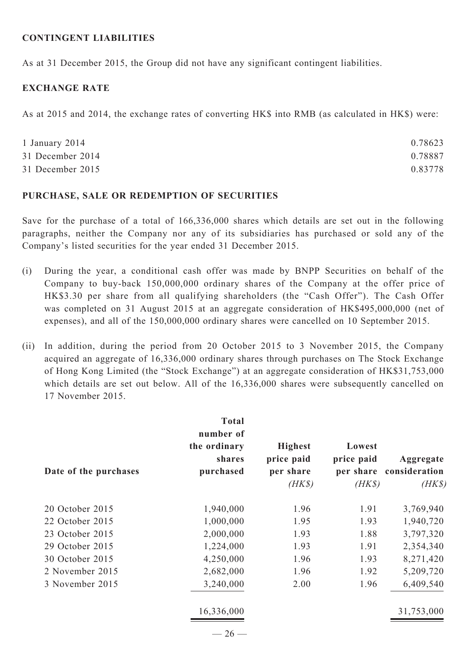#### **CONTINGENT LIABILITIES**

As at 31 December 2015, the Group did not have any significant contingent liabilities.

### **EXCHANGE RATE**

As at 2015 and 2014, the exchange rates of converting HK\$ into RMB (as calculated in HK\$) were:

| 1 January 2014   | 0.78623 |
|------------------|---------|
| 31 December 2014 | 0.78887 |
| 31 December 2015 | 0.83778 |

#### **PURCHASE, SALE OR REDEMPTION OF SECURITIES**

Save for the purchase of a total of 166,336,000 shares which details are set out in the following paragraphs, neither the Company nor any of its subsidiaries has purchased or sold any of the Company's listed securities for the year ended 31 December 2015.

- (i) During the year, a conditional cash offer was made by BNPP Securities on behalf of the Company to buy-back 150,000,000 ordinary shares of the Company at the offer price of HK\$3.30 per share from all qualifying shareholders (the "Cash Offer"). The Cash Offer was completed on 31 August 2015 at an aggregate consideration of HK\$495,000,000 (net of expenses), and all of the 150,000,000 ordinary shares were cancelled on 10 September 2015.
- (ii) In addition, during the period from 20 October 2015 to 3 November 2015, the Company acquired an aggregate of 16,336,000 ordinary shares through purchases on The Stock Exchange of Hong Kong Limited (the "Stock Exchange") at an aggregate consideration of HK\$31,753,000 which details are set out below. All of the  $16,336,000$  shares were subsequently cancelled on 17 November 2015.

|                       | <b>Total</b><br>number of           |                                                     |                                |                                                |
|-----------------------|-------------------------------------|-----------------------------------------------------|--------------------------------|------------------------------------------------|
| Date of the purchases | the ordinary<br>shares<br>purchased | <b>Highest</b><br>price paid<br>per share<br>$(HK\$ | Lowest<br>price paid<br>$(HK\$ | Aggregate<br>per share consideration<br>$(HK\$ |
| 20 October 2015       | 1,940,000                           | 1.96                                                | 1.91                           | 3,769,940                                      |
| 22 October 2015       | 1,000,000                           | 1.95                                                | 1.93                           | 1,940,720                                      |
| 23 October 2015       | 2,000,000                           | 1.93                                                | 1.88                           | 3,797,320                                      |
| 29 October 2015       | 1,224,000                           | 1.93                                                | 1.91                           | 2,354,340                                      |
| 30 October 2015       | 4,250,000                           | 1.96                                                | 1.93                           | 8,271,420                                      |
| 2 November 2015       | 2,682,000                           | 1.96                                                | 1.92                           | 5,209,720                                      |
| 3 November 2015       | 3,240,000                           | 2.00                                                | 1.96                           | 6,409,540                                      |
|                       | 16,336,000                          |                                                     |                                | 31,753,000                                     |
|                       | $-26-$                              |                                                     |                                |                                                |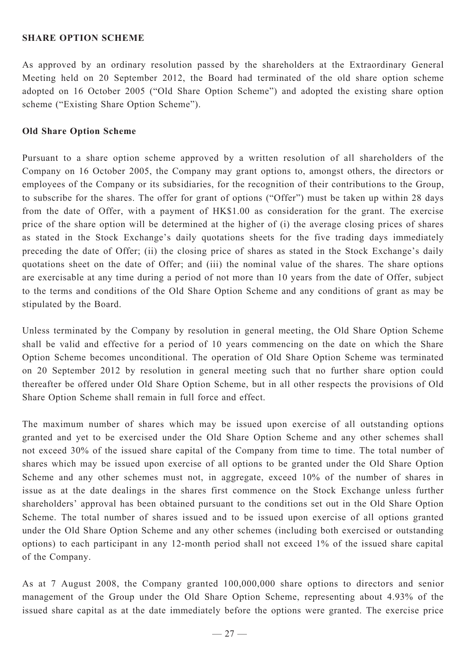#### **SHARE OPTION SCHEME**

As approved by an ordinary resolution passed by the shareholders at the Extraordinary General Meeting held on 20 September 2012, the Board had terminated of the old share option scheme adopted on 16 October 2005 ("Old Share Option Scheme") and adopted the existing share option scheme ("Existing Share Option Scheme").

### **Old Share Option Scheme**

Pursuant to a share option scheme approved by a written resolution of all shareholders of the Company on 16 October 2005, the Company may grant options to, amongst others, the directors or employees of the Company or its subsidiaries, for the recognition of their contributions to the Group, to subscribe for the shares. The offer for grant of options ("Offer") must be taken up within 28 days from the date of Offer, with a payment of HK\$1.00 as consideration for the grant. The exercise price of the share option will be determined at the higher of (i) the average closing prices of shares as stated in the Stock Exchange's daily quotations sheets for the five trading days immediately preceding the date of Offer; (ii) the closing price of shares as stated in the Stock Exchange's daily quotations sheet on the date of Offer; and (iii) the nominal value of the shares. The share options are exercisable at any time during a period of not more than 10 years from the date of Offer, subject to the terms and conditions of the Old Share Option Scheme and any conditions of grant as may be stipulated by the Board.

Unless terminated by the Company by resolution in general meeting, the Old Share Option Scheme shall be valid and effective for a period of 10 years commencing on the date on which the Share Option Scheme becomes unconditional. The operation of Old Share Option Scheme was terminated on 20 September 2012 by resolution in general meeting such that no further share option could thereafter be offered under Old Share Option Scheme, but in all other respects the provisions of Old Share Option Scheme shall remain in full force and effect.

The maximum number of shares which may be issued upon exercise of all outstanding options granted and yet to be exercised under the Old Share Option Scheme and any other schemes shall not exceed 30% of the issued share capital of the Company from time to time. The total number of shares which may be issued upon exercise of all options to be granted under the Old Share Option Scheme and any other schemes must not, in aggregate, exceed 10% of the number of shares in issue as at the date dealings in the shares first commence on the Stock Exchange unless further shareholders' approval has been obtained pursuant to the conditions set out in the Old Share Option Scheme. The total number of shares issued and to be issued upon exercise of all options granted under the Old Share Option Scheme and any other schemes (including both exercised or outstanding options) to each participant in any 12-month period shall not exceed 1% of the issued share capital of the Company.

As at 7 August 2008, the Company granted 100,000,000 share options to directors and senior management of the Group under the Old Share Option Scheme, representing about 4.93% of the issued share capital as at the date immediately before the options were granted. The exercise price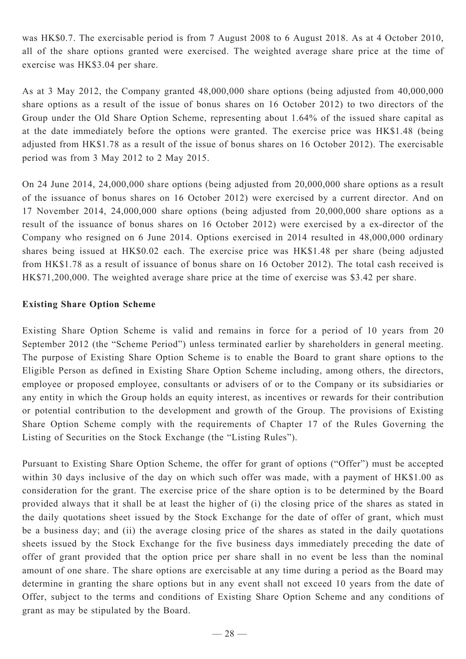was HK\$0.7. The exercisable period is from 7 August 2008 to 6 August 2018. As at 4 October 2010, all of the share options granted were exercised. The weighted average share price at the time of exercise was HK\$3.04 per share.

As at 3 May 2012, the Company granted 48,000,000 share options (being adjusted from 40,000,000 share options as a result of the issue of bonus shares on 16 October 2012) to two directors of the Group under the Old Share Option Scheme, representing about 1.64% of the issued share capital as at the date immediately before the options were granted. The exercise price was HK\$1.48 (being adjusted from HK\$1.78 as a result of the issue of bonus shares on 16 October 2012). The exercisable period was from 3 May 2012 to 2 May 2015.

On 24 June 2014, 24,000,000 share options (being adjusted from 20,000,000 share options as a result of the issuance of bonus shares on 16 October 2012) were exercised by a current director. And on 17 November 2014, 24,000,000 share options (being adjusted from 20,000,000 share options as a result of the issuance of bonus shares on 16 October 2012) were exercised by a ex-director of the Company who resigned on 6 June 2014. Options exercised in 2014 resulted in 48,000,000 ordinary shares being issued at HK\$0.02 each. The exercise price was HK\$1.48 per share (being adjusted from HK\$1.78 as a result of issuance of bonus share on 16 October 2012). The total cash received is HK\$71,200,000. The weighted average share price at the time of exercise was \$3.42 per share.

### **Existing Share Option Scheme**

Existing Share Option Scheme is valid and remains in force for a period of 10 years from 20 September 2012 (the "Scheme Period") unless terminated earlier by shareholders in general meeting. The purpose of Existing Share Option Scheme is to enable the Board to grant share options to the Eligible Person as defined in Existing Share Option Scheme including, among others, the directors, employee or proposed employee, consultants or advisers of or to the Company or its subsidiaries or any entity in which the Group holds an equity interest, as incentives or rewards for their contribution or potential contribution to the development and growth of the Group. The provisions of Existing Share Option Scheme comply with the requirements of Chapter 17 of the Rules Governing the Listing of Securities on the Stock Exchange (the "Listing Rules").

Pursuant to Existing Share Option Scheme, the offer for grant of options ("Offer") must be accepted within 30 days inclusive of the day on which such offer was made, with a payment of HK\$1.00 as consideration for the grant. The exercise price of the share option is to be determined by the Board provided always that it shall be at least the higher of (i) the closing price of the shares as stated in the daily quotations sheet issued by the Stock Exchange for the date of offer of grant, which must be a business day; and (ii) the average closing price of the shares as stated in the daily quotations sheets issued by the Stock Exchange for the five business days immediately preceding the date of offer of grant provided that the option price per share shall in no event be less than the nominal amount of one share. The share options are exercisable at any time during a period as the Board may determine in granting the share options but in any event shall not exceed 10 years from the date of Offer, subject to the terms and conditions of Existing Share Option Scheme and any conditions of grant as may be stipulated by the Board.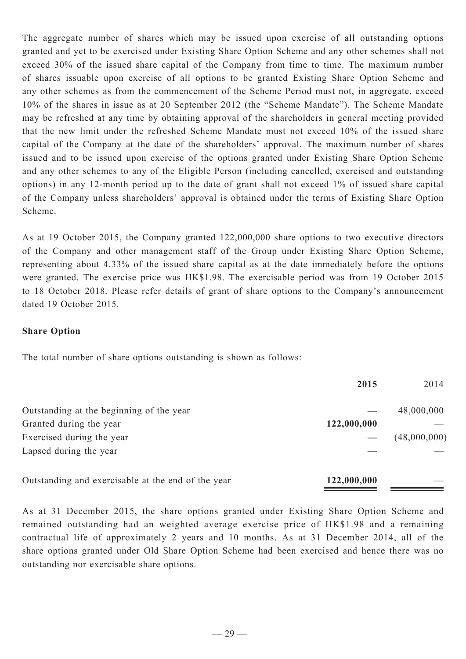The aggregate number of shares which may be issued upon exercise of all outstanding options granted and yet to be exercised under Existing Share Option Scheme and any other schemes shall not exceed 30% of the issued share capital of the Company from time to time. The maximum number of shares issuable upon exercise of all options to be granted Existing Share Option Scheme and any other schemes as from the commencement of the Scheme Period must not, in aggregate, exceed 10% of the shares in issue as at 20 September 2012 (the "Scheme Mandate"). The Scheme Mandate may be refreshed at any time by obtaining approval of the shareholders in general meeting provided that the new limit under the refreshed Scheme Mandate must not exceed 10% of the issued share capital of the Company at the date of the shareholders' approval. The maximum number of shares issued and to be issued upon exercise of the options granted under Existing Share Option Scheme and any other schemes to any of the Eligible Person (including cancelled, exercised and outstanding options) in any 12-month period up to the date of grant shall not exceed 1% of issued share capital of the Company unless shareholders' approval is obtained under the terms of Existing Share Option Scheme.

As at 19 October 2015, the Company granted 122,000,000 share options to two executive directors of the Company and other management staff of the Group under Existing Share Option Scheme, representing about 4.33% of the issued share capital as at the date immediately before the options were granted. The exercise price was HK\$1.98. The exercisable period was from 19 October 2015 to 18 October 2018. Please refer details of grant of share options to the Company's announcement dated 19 October 2015.

### **Share Option**

The total number of share options outstanding is shown as follows:

|                                                    | 2015        | 2014         |
|----------------------------------------------------|-------------|--------------|
| Outstanding at the beginning of the year           |             | 48,000,000   |
| Granted during the year                            | 122,000,000 |              |
| Exercised during the year                          |             | (48,000,000) |
| Lapsed during the year                             |             |              |
| Outstanding and exercisable at the end of the year | 122,000,000 |              |

As at 31 December 2015, the share options granted under Existing Share Option Scheme and remained outstanding had an weighted average exercise price of HK\$1.98 and a remaining contractual life of approximately 2 years and 10 months. As at 31 December 2014, all of the share options granted under Old Share Option Scheme had been exercised and hence there was no outstanding nor exercisable share options.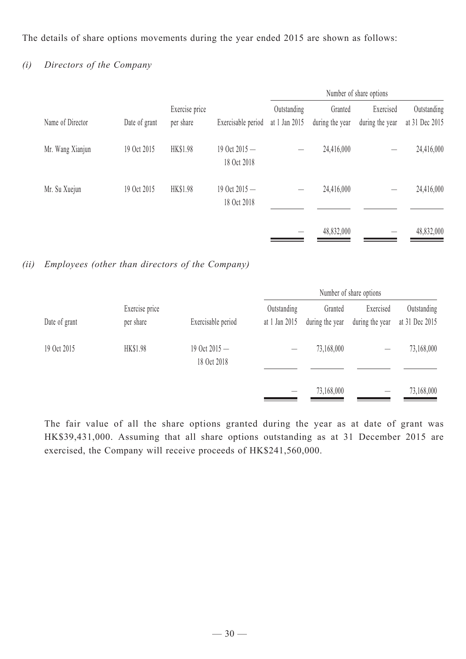The details of share options movements during the year ended 2015 are shown as follows:

# *(i) Directors of the Company*

|                  |               |                             |                                | Number of share options      |                            |                              |                               |
|------------------|---------------|-----------------------------|--------------------------------|------------------------------|----------------------------|------------------------------|-------------------------------|
| Name of Director | Date of grant | Exercise price<br>per share | Exercisable period             | Outstanding<br>at 1 Jan 2015 | Granted<br>during the year | Exercised<br>during the year | Outstanding<br>at 31 Dec 2015 |
| Mr. Wang Xianjun | 19 Oct 2015   | HK\$1.98                    | 19 Oct $2015 -$<br>18 Oct 2018 |                              | 24,416,000                 |                              | 24,416,000                    |
| Mr. Su Xuejun    | 19 Oct 2015   | <b>HK\$1.98</b>             | 19 Oct $2015 -$<br>18 Oct 2018 |                              | 24,416,000                 |                              | 24,416,000                    |
|                  |               |                             |                                |                              | 48,832,000                 |                              | 48,832,000                    |

*(ii) Employees (other than directors of the Company)*

|               |                             |                                |                              |                            | Number of share options      |                               |
|---------------|-----------------------------|--------------------------------|------------------------------|----------------------------|------------------------------|-------------------------------|
| Date of grant | Exercise price<br>per share | Exercisable period             | Outstanding<br>at 1 Jan 2015 | Granted<br>during the year | Exercised<br>during the year | Outstanding<br>at 31 Dec 2015 |
| 19 Oct 2015   | HK\$1.98                    | 19 Oct $2015 -$<br>18 Oct 2018 |                              | 73,168,000                 |                              | 73,168,000                    |
|               |                             |                                |                              | 73,168,000                 |                              | 73,168,000                    |

The fair value of all the share options granted during the year as at date of grant was HK\$39,431,000. Assuming that all share options outstanding as at 31 December 2015 are exercised, the Company will receive proceeds of HK\$241,560,000.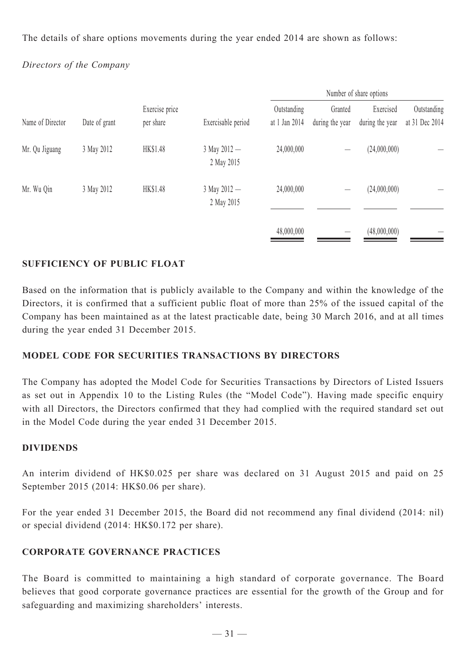The details of share options movements during the year ended 2014 are shown as follows:

## *Directors of the Company*

| Name of Director<br>Date of grant<br>per share | Exercise price | Exercisable period | Outstanding<br>at 1 Jan 2014   | Granted<br>during the year | Exercised<br>during the year | Outstanding<br>at 31 Dec 2014 |  |
|------------------------------------------------|----------------|--------------------|--------------------------------|----------------------------|------------------------------|-------------------------------|--|
| Mr. Qu Jiguang                                 | 3 May 2012     | HK\$1.48           | $3$ May $2012 -$<br>2 May 2015 | 24,000,000                 |                              | (24,000,000)                  |  |
| Mr. Wu Qin                                     | 3 May 2012     | HK\$1.48           | 3 May 2012 -<br>2 May 2015     | 24,000,000                 |                              | (24,000,000)                  |  |
|                                                |                |                    |                                | 48,000,000                 |                              | (48,000,000)                  |  |

## **SUFFICIENCY OF PUBLIC FLOAT**

Based on the information that is publicly available to the Company and within the knowledge of the Directors, it is confirmed that a sufficient public float of more than 25% of the issued capital of the Company has been maintained as at the latest practicable date, being 30 March 2016, and at all times during the year ended 31 December 2015.

## **Model Code for Securities Transactions by Directors**

The Company has adopted the Model Code for Securities Transactions by Directors of Listed Issuers as set out in Appendix 10 to the Listing Rules (the "Model Code"). Having made specific enquiry with all Directors, the Directors confirmed that they had complied with the required standard set out in the Model Code during the year ended 31 December 2015.

### **DIVIDENDS**

An interim dividend of HK\$0.025 per share was declared on 31 August 2015 and paid on 25 September 2015 (2014: HK\$0.06 per share).

For the year ended 31 December 2015, the Board did not recommend any final dividend (2014: nil) or special dividend (2014: HK\$0.172 per share).

## **Corporate Governance Practices**

The Board is committed to maintaining a high standard of corporate governance. The Board believes that good corporate governance practices are essential for the growth of the Group and for safeguarding and maximizing shareholders' interests.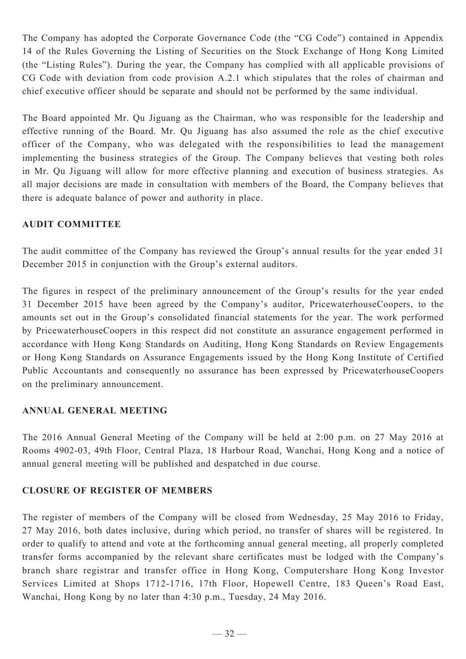The Company has adopted the Corporate Governance Code (the "CG Code") contained in Appendix 14 of the Rules Governing the Listing of Securities on the Stock Exchange of Hong Kong Limited (the "Listing Rules"). During the year, the Company has complied with all applicable provisions of CG Code with deviation from code provision A.2.1 which stipulates that the roles of chairman and chief executive officer should be separate and should not be performed by the same individual.

The Board appointed Mr. Qu Jiguang as the Chairman, who was responsible for the leadership and effective running of the Board. Mr. Qu Jiguang has also assumed the role as the chief executive officer of the Company, who was delegated with the responsibilities to lead the management implementing the business strategies of the Group. The Company believes that vesting both roles in Mr. Qu Jiguang will allow for more effective planning and execution of business strategies. As all major decisions are made in consultation with members of the Board, the Company believes that there is adequate balance of power and authority in place.

### **AUDIT COMMITTEE**

The audit committee of the Company has reviewed the Group's annual results for the year ended 31 December 2015 in conjunction with the Group's external auditors.

The figures in respect of the preliminary announcement of the Group's results for the year ended 31 December 2015 have been agreed by the Company's auditor, PricewaterhouseCoopers, to the amounts set out in the Group's consolidated financial statements for the year. The work performed by PricewaterhouseCoopers in this respect did not constitute an assurance engagement performed in accordance with Hong Kong Standards on Auditing, Hong Kong Standards on Review Engagements or Hong Kong Standards on Assurance Engagements issued by the Hong Kong Institute of Certified Public Accountants and consequently no assurance has been expressed by PricewaterhouseCoopers on the preliminary announcement.

### **ANNUAL GENERAL MEETING**

The 2016 Annual General Meeting of the Company will be held at 2:00 p.m. on 27 May 2016 at Rooms 4902-03, 49th Floor, Central Plaza, 18 Harbour Road, Wanchai, Hong Kong and a notice of annual general meeting will be published and despatched in due course.

### **CLOSURE OF REGISTER OF MEMBERS**

The register of members of the Company will be closed from Wednesday, 25 May 2016 to Friday, 27 May 2016, both dates inclusive, during which period, no transfer of shares will be registered. In order to qualify to attend and vote at the forthcoming annual general meeting, all properly completed transfer forms accompanied by the relevant share certificates must be lodged with the Company's branch share registrar and transfer office in Hong Kong, Computershare Hong Kong Investor Services Limited at Shops 1712-1716, 17th Floor, Hopewell Centre, 183 Queen's Road East, Wanchai, Hong Kong by no later than 4:30 p.m., Tuesday, 24 May 2016.